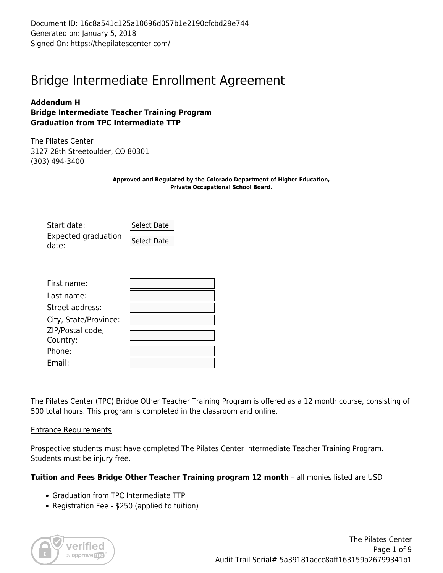Document ID: 16c8a541c125a10696d057b1e2190cfcbd29e744 Generated on: January 5, 2018 Signed On: https://thepilatescenter.com/

## Bridge Intermediate Enrollment Agreement

#### **Addendum H Bridge Intermediate Teacher Training Program Graduation from TPC Intermediate TTP**

The Pilates Center 3127 28th Streetoulder, CO 80301 (303) 494-3400

> **Approved and Regulated by the Colorado Department of Higher Education, Private Occupational School Board.**

| Start date:                  | Select Date |
|------------------------------|-------------|
| Expected graduation<br>date: | Select Date |

| First name:           |  |
|-----------------------|--|
| Last name:            |  |
| Street address:       |  |
| City, State/Province: |  |
| ZIP/Postal code,      |  |
| Country:              |  |
| Phone:                |  |
| Fmail:                |  |

The Pilates Center (TPC) Bridge Other Teacher Training Program is offered as a 12 month course, consisting of 500 total hours. This program is completed in the classroom and online.

#### Entrance Requirements

Prospective students must have completed The Pilates Center Intermediate Teacher Training Program. Students must be injury free.

#### **Tuition and Fees Bridge Other Teacher Training program 12 month** – all monies listed are USD

- Graduation from TPC Intermediate TTP
- Registration Fee \$250 (applied to tuition)

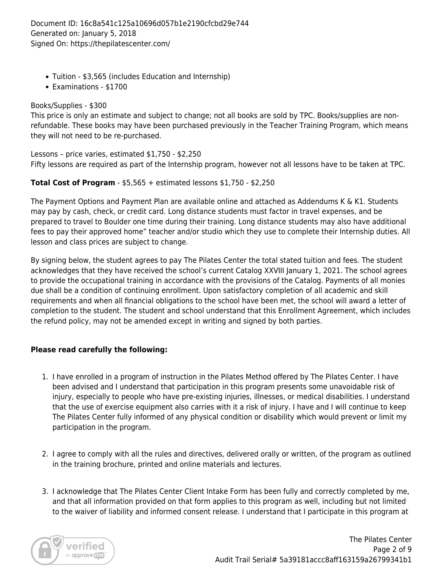Document ID: 16c8a541c125a10696d057b1e2190cfcbd29e744 Generated on: January 5, 2018 Signed On: https://thepilatescenter.com/

- Tuition \$3,565 (includes Education and Internship)
- Examinations \$1700

#### Books/Supplies - \$300

This price is only an estimate and subject to change; not all books are sold by TPC. Books/supplies are nonrefundable. These books may have been purchased previously in the Teacher Training Program, which means they will not need to be re-purchased.

Lessons – price varies, estimated \$1,750 - \$2,250 Fifty lessons are required as part of the Internship program, however not all lessons have to be taken at TPC.

#### **Total Cost of Program** - \$5,565 + estimated lessons \$1,750 - \$2,250

The Payment Options and Payment Plan are available online and attached as Addendums K & K1. Students may pay by cash, check, or credit card. Long distance students must factor in travel expenses, and be prepared to travel to Boulder one time during their training. Long distance students may also have additional fees to pay their approved home" teacher and/or studio which they use to complete their Internship duties. All lesson and class prices are subject to change.

By signing below, the student agrees to pay The Pilates Center the total stated tuition and fees. The student acknowledges that they have received the school's current Catalog XXVIII January 1, 2021. The school agrees to provide the occupational training in accordance with the provisions of the Catalog. Payments of all monies due shall be a condition of continuing enrollment. Upon satisfactory completion of all academic and skill requirements and when all financial obligations to the school have been met, the school will award a letter of completion to the student. The student and school understand that this Enrollment Agreement, which includes the refund policy, may not be amended except in writing and signed by both parties.

#### **Please read carefully the following:**

- 1. I have enrolled in a program of instruction in the Pilates Method offered by The Pilates Center. I have been advised and I understand that participation in this program presents some unavoidable risk of injury, especially to people who have pre-existing injuries, illnesses, or medical disabilities. I understand that the use of exercise equipment also carries with it a risk of injury. I have and I will continue to keep The Pilates Center fully informed of any physical condition or disability which would prevent or limit my participation in the program.
- 2. I agree to comply with all the rules and directives, delivered orally or written, of the program as outlined in the training brochure, printed and online materials and lectures.
- 3. I acknowledge that The Pilates Center Client Intake Form has been fully and correctly completed by me, and that all information provided on that form applies to this program as well, including but not limited to the waiver of liability and informed consent release. I understand that I participate in this program at

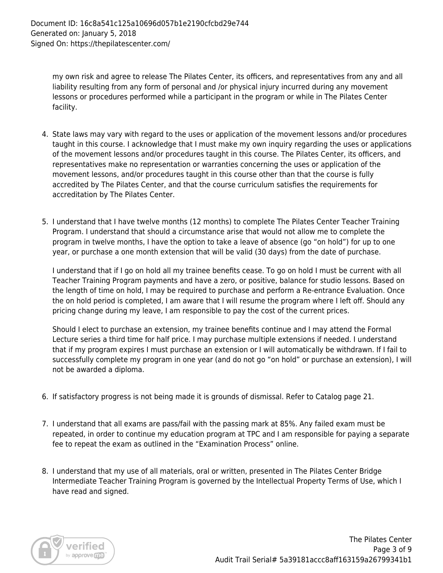my own risk and agree to release The Pilates Center, its officers, and representatives from any and all liability resulting from any form of personal and /or physical injury incurred during any movement lessons or procedures performed while a participant in the program or while in The Pilates Center facility.

- 4. State laws may vary with regard to the uses or application of the movement lessons and/or procedures taught in this course. I acknowledge that I must make my own inquiry regarding the uses or applications of the movement lessons and/or procedures taught in this course. The Pilates Center, its officers, and representatives make no representation or warranties concerning the uses or application of the movement lessons, and/or procedures taught in this course other than that the course is fully accredited by The Pilates Center, and that the course curriculum satisfies the requirements for accreditation by The Pilates Center.
- 5. I understand that I have twelve months (12 months) to complete The Pilates Center Teacher Training Program. I understand that should a circumstance arise that would not allow me to complete the program in twelve months, I have the option to take a leave of absence (go "on hold") for up to one year, or purchase a one month extension that will be valid (30 days) from the date of purchase.

I understand that if I go on hold all my trainee benefits cease. To go on hold I must be current with all Teacher Training Program payments and have a zero, or positive, balance for studio lessons. Based on the length of time on hold, I may be required to purchase and perform a Re-entrance Evaluation. Once the on hold period is completed, I am aware that I will resume the program where I left off. Should any pricing change during my leave, I am responsible to pay the cost of the current prices.

Should I elect to purchase an extension, my trainee benefits continue and I may attend the Formal Lecture series a third time for half price. I may purchase multiple extensions if needed. I understand that if my program expires I must purchase an extension or I will automatically be withdrawn. If I fail to successfully complete my program in one year (and do not go "on hold" or purchase an extension), I will not be awarded a diploma.

- 6. If satisfactory progress is not being made it is grounds of dismissal. Refer to Catalog page 21.
- 7. I understand that all exams are pass/fail with the passing mark at 85%. Any failed exam must be repeated, in order to continue my education program at TPC and I am responsible for paying a separate fee to repeat the exam as outlined in the "Examination Process" online.
- 8. I understand that my use of all materials, oral or written, presented in The Pilates Center Bridge Intermediate Teacher Training Program is governed by the Intellectual Property Terms of Use, which I have read and signed.

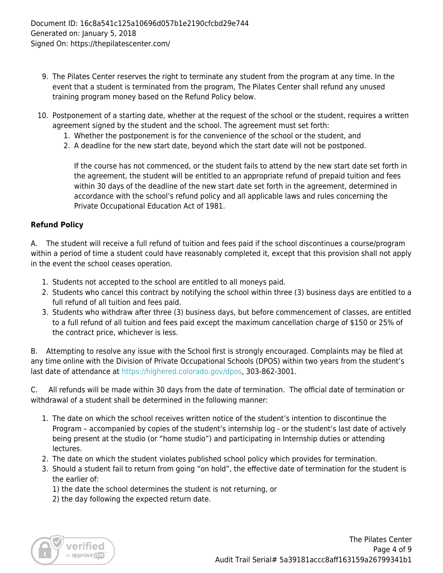- 9. The Pilates Center reserves the right to terminate any student from the program at any time. In the event that a student is terminated from the program, The Pilates Center shall refund any unused training program money based on the Refund Policy below.
- 10. Postponement of a starting date, whether at the request of the school or the student, requires a written agreement signed by the student and the school. The agreement must set forth:
	- 1. Whether the postponement is for the convenience of the school or the student, and
	- 2. A deadline for the new start date, beyond which the start date will not be postponed.

If the course has not commenced, or the student fails to attend by the new start date set forth in the agreement, the student will be entitled to an appropriate refund of prepaid tuition and fees within 30 days of the deadline of the new start date set forth in the agreement, determined in accordance with the school's refund policy and all applicable laws and rules concerning the Private Occupational Education Act of 1981.

#### **Refund Policy**

A. The student will receive a full refund of tuition and fees paid if the school discontinues a course/program within a period of time a student could have reasonably completed it, except that this provision shall not apply in the event the school ceases operation.

- 1. Students not accepted to the school are entitled to all moneys paid.
- 2. Students who cancel this contract by notifying the school within three (3) business days are entitled to a full refund of all tuition and fees paid.
- 3. Students who withdraw after three (3) business days, but before commencement of classes, are entitled to a full refund of all tuition and fees paid except the maximum cancellation charge of \$150 or 25% of the contract price, whichever is less.

B. Attempting to resolve any issue with the School first is strongly encouraged. Complaints may be filed at any time online with the Division of Private Occupational Schools (DPOS) within two years from the student's last date of attendance at<https://highered.colorado.gov/dpos>, 303-862-3001.

C. All refunds will be made within 30 days from the date of termination. The official date of termination or withdrawal of a student shall be determined in the following manner:

- 1. The date on which the school receives written notice of the student's intention to discontinue the Program – accompanied by copies of the student's internship log - or the student's last date of actively being present at the studio (or "home studio") and participating in Internship duties or attending lectures.
- 2. The date on which the student violates published school policy which provides for termination.
- 3. Should a student fail to return from going "on hold", the effective date of termination for the student is the earlier of:
	- 1) the date the school determines the student is not returning, or
	- 2) the day following the expected return date.

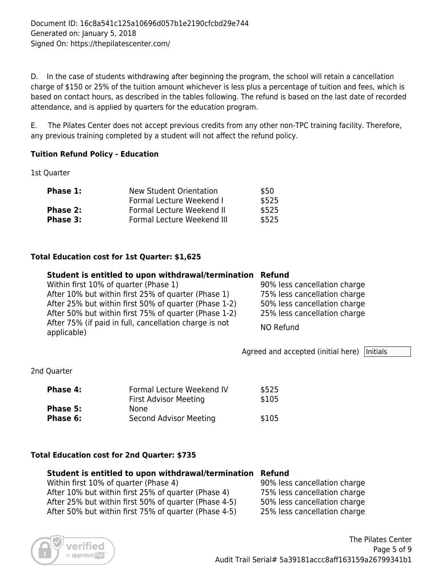D. In the case of students withdrawing after beginning the program, the school will retain a cancellation charge of \$150 or 25% of the tuition amount whichever is less plus a percentage of tuition and fees, which is based on contact hours, as described in the tables following. The refund is based on the last date of recorded attendance, and is applied by quarters for the education program.

E. The Pilates Center does not accept previous credits from any other non-TPC training facility. Therefore, any previous training completed by a student will not affect the refund policy.

#### **Tuition Refund Policy - Education**

1st Quarter

| New Student Orientation    | \$50  |
|----------------------------|-------|
| Formal Lecture Weekend I   | \$525 |
| Formal Lecture Weekend II  | \$525 |
| Formal Lecture Weekend III | \$525 |
|                            |       |

#### **Total Education cost for 1st Quarter: \$1,625**

#### **Student is entitled to upon withdrawal/termination Refund**

| Within first 10% of quarter (Phase 1)                  | 90% less cancellation charge |
|--------------------------------------------------------|------------------------------|
| After 10% but within first 25% of quarter (Phase 1)    | 75% less cancellation charge |
| After 25% but within first 50% of quarter (Phase 1-2)  | 50% less cancellation charge |
| After 50% but within first 75% of quarter (Phase 1-2)  | 25% less cancellation charge |
| After 75% (if paid in full, cancellation charge is not | NO Refund                    |
| applicable)                                            |                              |

Agreed and accepted (initial here)  $|$ Initials

2nd Quarter

| Phase 4: | Formal Lecture Weekend IV    | \$525 |
|----------|------------------------------|-------|
|          | <b>First Advisor Meeting</b> | \$105 |
| Phase 5: | None.                        |       |
| Phase 6: | Second Advisor Meeting       | \$105 |

#### **Total Education cost for 2nd Quarter: \$735**

#### **Student is entitled to upon withdrawal/termination Refund**

Within first 10% of quarter (Phase 4) 90% less cancellation charge After 10% but within first 25% of quarter (Phase 4) 75% less cancellation charge After 25% but within first 50% of quarter (Phase 4-5) 50% less cancellation charge After 50% but within first 75% of quarter (Phase 4-5) 25% less cancellation charge

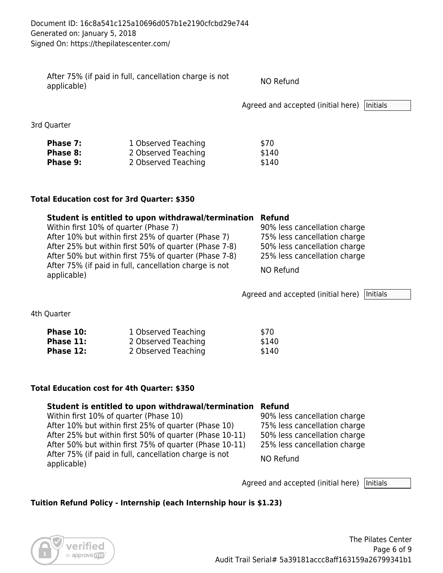| After 75% (if paid in full, cancellation charge is not<br>applicable) | NO Refund                                     |  |
|-----------------------------------------------------------------------|-----------------------------------------------|--|
|                                                                       | Agreed and accepted (initial here)   Initials |  |

3rd Quarter

| Phase 7: | 1 Observed Teaching | \$70  |
|----------|---------------------|-------|
| Phase 8: | 2 Observed Teaching | \$140 |
| Phase 9: | 2 Observed Teaching | \$140 |

#### **Total Education cost for 3rd Quarter: \$350**

| Student is entitled to upon withdrawal/termination Refund             |                              |
|-----------------------------------------------------------------------|------------------------------|
| Within first 10% of quarter (Phase 7)                                 | 90% less cancellation charge |
| After 10% but within first 25% of quarter (Phase 7)                   | 75% less cancellation charge |
| After 25% but within first 50% of quarter (Phase 7-8)                 | 50% less cancellation charge |
| After 50% but within first 75% of quarter (Phase 7-8)                 | 25% less cancellation charge |
| After 75% (if paid in full, cancellation charge is not<br>applicable) | NO Refund                    |

Agreed and accepted (initial here)  $|$ Initials

4th Quarter

| Phase 10: | 1 Observed Teaching | \$70  |
|-----------|---------------------|-------|
| Phase 11: | 2 Observed Teaching | \$140 |
| Phase 12: | 2 Observed Teaching | \$140 |

#### **Total Education cost for 4th Quarter: \$350**

#### **Student is entitled to upon withdrawal/termination Refund**

| Within first 10% of quarter (Phase 10)                                | 90% less cancellation charge |
|-----------------------------------------------------------------------|------------------------------|
| After 10% but within first 25% of quarter (Phase 10)                  | 75% less cancellation charge |
| After 25% but within first 50% of quarter (Phase 10-11)               | 50% less cancellation charge |
| After 50% but within first 75% of quarter (Phase 10-11)               | 25% less cancellation charge |
| After 75% (if paid in full, cancellation charge is not<br>applicable) | NO Refund                    |

Agreed and accepted (initial here)  $\sqrt{\frac{1}{10}}$ 

#### **Tuition Refund Policy - Internship (each Internship hour is \$1.23)**

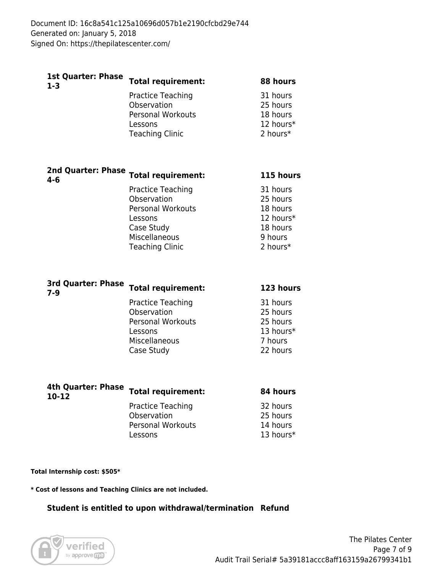| <b>Total requirement:</b> | 88 hours  |
|---------------------------|-----------|
| Practice Teaching         | 31 hours  |
| Observation               | 25 hours  |
| <b>Personal Workouts</b>  | 18 hours  |
| Lessons                   | 12 hours* |
| <b>Teaching Clinic</b>    | 2 hours*  |
|                           |           |
|                           |           |

| 4-6 | 2nd Quarter: Pnase Total requirement: | 115 hours |
|-----|---------------------------------------|-----------|
|     | Practice Teaching                     | 31 hours  |
|     | Observation                           | 25 hours  |
|     | <b>Personal Workouts</b>              | 18 hours  |
|     | Lessons                               | 12 hours* |
|     | Case Study                            | 18 hours  |
|     | Miscellaneous                         | 9 hours   |
|     | <b>Teaching Clinic</b>                | 2 hours*  |
|     |                                       |           |

| <b>3rd Quarter: Phase</b><br>$7 - 9$ | <b>Total requirement:</b> | 123 hours |
|--------------------------------------|---------------------------|-----------|
|                                      | Practice Teaching         | 31 hours  |
|                                      | Observation               | 25 hours  |
|                                      | <b>Personal Workouts</b>  | 25 hours  |
|                                      | Lessons                   | 13 hours* |
|                                      | Miscellaneous             | 7 hours   |
|                                      | Case Study                | 22 hours  |
|                                      |                           |           |

| $10-12$ | 4th Quarter: Pnase Total requirement:   | 84 hours             |
|---------|-----------------------------------------|----------------------|
|         | <b>Practice Teaching</b><br>Observation | 32 hours<br>25 hours |
|         | <b>Personal Workouts</b>                | 14 hours             |
|         | Lessons                                 | 13 hours*            |

**Total Internship cost: \$505\***

**\* Cost of lessons and Teaching Clinics are not included.**

#### **Student is entitled to upon withdrawal/termination Refund**

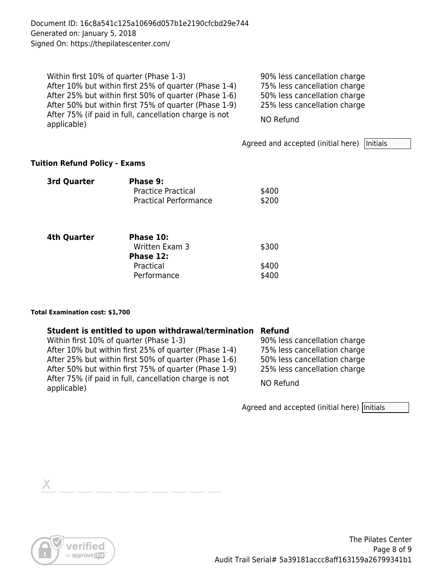Document ID: 16c8a541c125a10696d057b1e2190cfcbd29e744 Generated on: January 5, 2018 Signed On: https://thepilatescenter.com/

Within first 10% of quarter (Phase 1-3) 90% less cancellation charge After 10% but within first 25% of quarter (Phase 1-4) 75% less cancellation charge After 25% but within first 50% of quarter (Phase 1-6) 50% less cancellation charge After 50% but within first 75% of quarter (Phase 1-9) 25% less cancellation charge After 75% (if paid in full, cancellation charge is not applicable) NO Refund

Agreed and accepted (initial here)  $|$ Initials

#### **Tuition Refund Policy - Exams**

| <b>3rd Quarter</b> | Phase 9:<br><b>Practice Practical</b><br><b>Practical Performance</b> | \$400<br>\$200 |
|--------------------|-----------------------------------------------------------------------|----------------|
| <b>4th Quarter</b> | Phase 10:<br>Written Exam 3<br>Phase 12:                              | \$300          |
|                    | Practical<br>Performance                                              | \$400<br>\$400 |

#### **Total Examination cost: \$1,700**

#### **Student is entitled to upon withdrawal/termination Refund**

| Within first 10% of quarter (Phase 1-3)                               | 90% less cancellation charge |
|-----------------------------------------------------------------------|------------------------------|
| After 10% but within first 25% of quarter (Phase 1-4)                 | 75% less cancellation charge |
| After 25% but within first 50% of quarter (Phase 1-6)                 | 50% less cancellation charge |
| After 50% but within first 75% of quarter (Phase 1-9)                 | 25% less cancellation charge |
| After 75% (if paid in full, cancellation charge is not<br>applicable) | NO Refund                    |

Agreed and accepted (initial here) Initials

Х